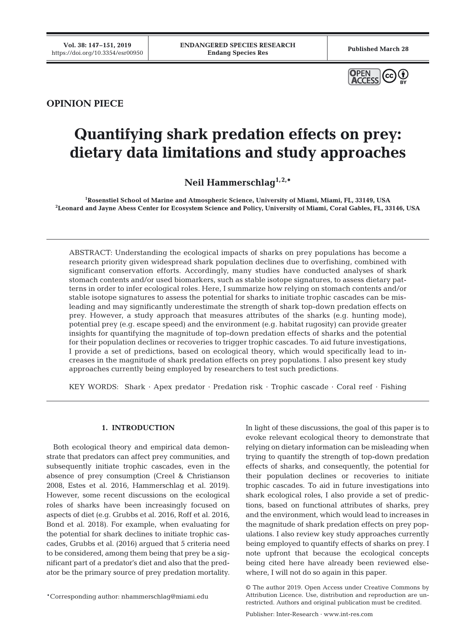

# **OPINION PIECE**

# **Quantifying shark predation effects on prey: dietary data limitations and study approaches**

**Neil Hammerschlag1,2,\***

**1 Rosenstiel School of Marine and Atmospheric Science, University of Miami, Miami, FL, 33149, USA 2 Leonard and Jayne Abess Center for Ecosystem Science and Policy, University of Miami, Coral Gables, FL, 33146, USA**

ABSTRACT: Understanding the ecological impacts of sharks on prey populations has become a research priority given widespread shark population declines due to overfishing, combined with significant conservation efforts. Accordingly, many studies have conducted analyses of shark stomach contents and/or used biomarkers, such as stable isotope signatures, to assess dietary patterns in order to infer ecological roles. Here, I summarize how relying on stomach contents and/or stable isotope signatures to assess the potential for sharks to initiate trophic cascades can be misleading and may significantly underestimate the strength of shark top-down predation effects on prey. However, a study approach that measures attributes of the sharks (e.g. hunting mode), potential prey (e.g. escape speed) and the environment (e.g. habitat rugosity) can provide greater insights for quantifying the magnitude of top-down predation effects of sharks and the potential for their population declines or recoveries to trigger trophic cascades. To aid future investigations, I provide a set of predictions, based on ecological theory, which would specifically lead to in creases in the magnitude of shark predation effects on prey populations. I also present key study approaches currently being employed by researchers to test such predictions.

KEY WORDS: Shark · Apex predator · Predation risk · Trophic cascade · Coral reef · Fishing

#### **1. INTRODUCTION**

Both ecological theory and empirical data demonstrate that predators can affect prey communities, and subsequently initiate trophic cascades, even in the absence of prey consumption (Creel & Christianson 2008, Estes et al. 2016, Hammerschlag et al. 2019). However, some recent discussions on the ecological roles of sharks have been increasingly focused on aspects of diet (e.g. Grubbs et al. 2016, Roff et al. 2016, Bond et al. 2018). For example, when evaluating for the potential for shark declines to initiate trophic cascades, Grubbs et al. (2016) argued that 5 criteria need to be considered, among them being that prey be a significant part of a predator's diet and also that the predator be the primary source of prey predation mortality.

\*Corresponding author: nhammerschlag@miami.edu

In light of these discussions, the goal of this paper is to evoke relevant ecological theory to demonstrate that relying on dietary information can be misleading when trying to quantify the strength of top-down predation effects of sharks, and consequently, the potential for their population declines or recoveries to initiate trophic cascades. To aid in future investigations into shark ecological roles, I also provide a set of predictions, based on functional attributes of sharks, prey and the environment, which would lead to increases in the magnitude of shark predation effects on prey populations. I also review key study approaches currently being employed to quantify effects of sharks on prey. I note upfront that because the ecological concepts being cited here have already been reviewed elsewhere, I will not do so again in this paper.

<sup>©</sup> The author 2019. Open Access under Creative Commons by Attribution Licence. Use, distribution and reproduction are unrestricted. Authors and original publication must be credited.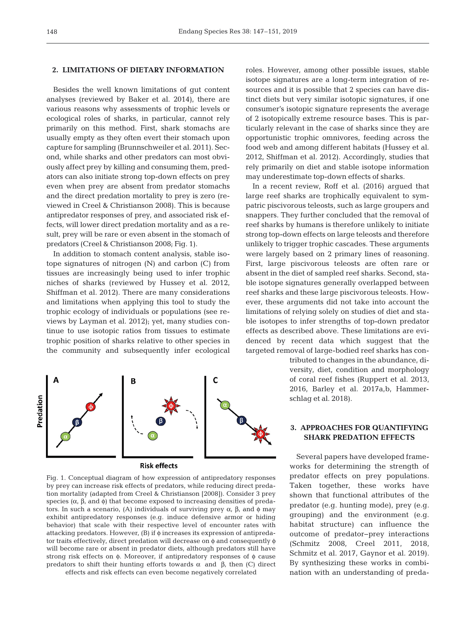### **2. LIMITATIONS OF DIETARY INFORMATION**

Besides the well known limitations of gut content analyses (reviewed by Baker et al. 2014), there are various reasons why assessments of trophic levels or ecological roles of sharks, in particular, cannot rely primarily on this method. First, shark stomachs are usually empty as they often evert their stomach upon capture for sampling (Brunnschweiler et al. 2011). Second, while sharks and other predators can most obviously affect prey by killing and consuming them, predators can also initiate strong top-down effects on prey even when prey are absent from predator stomachs and the direct predation mortality to prey is zero (reviewed in Creel & Christianson 2008). This is because antipredator responses of prey, and associated risk effects, will lower direct predation mortality and as a result, prey will be rare or even absent in the stomach of predators (Creel & Christianson 2008; Fig. 1).

In addition to stomach content analysis, stable isotope signatures of nitrogen (N) and carbon (C) from tissues are increasingly being used to infer trophic niches of sharks (reviewed by Hussey et al. 2012, Shiffman et al. 2012). There are many considerations and limitations when applying this tool to study the trophic ecology of individuals or populations (see reviews by Layman et al. 2012); yet, many studies continue to use isotopic ratios from tissues to estimate trophic position of sharks relative to other species in the community and subsequently infer ecological



Fig. 1. Conceptual diagram of how expression of antipredatory responses by prey can increase risk effects of predators, while reducing direct predation mortality (adapted from Creel & Christianson [2008]). Consider 3 prey species  $(\alpha, \beta, \text{ and } \phi)$  that become exposed to increasing densities of predators. In such a scenario, (A) individuals of surviving prey  $\alpha$ ,  $\beta$ , and φ may exhibit antipredatory responses (e.g. induce defensive armor or hiding behavior) that scale with their respective level of encounter rates with attacking predators. However, (B) if φ increases its expression of antipredator traits effectively, direct predation will decrease on φ and consequently φ will become rare or absent in predator diets, although predators still have strong risk effects on φ. Moreover, if antipredatory responses of φ cause predators to shift their hunting efforts towards α and β, then (C) direct effects and risk effects can even become negatively correlated

roles. However, among other possible issues, stable isotope signatures are a long-term integration of resources and it is possible that 2 species can have distinct diets but very similar isotopic signatures, if one consumer's isotopic signature represents the average of 2 isotopically extreme resource bases. This is particularly relevant in the case of sharks since they are opportunistic trophic omnivores, feeding across the food web and among different habitats (Hussey et al. 2012, Shiffman et al. 2012). Accordingly, studies that rely primarily on diet and stable isotope information may underestimate top-down effects of sharks.

In a recent review, Roff et al. (2016) argued that large reef sharks are trophically equivalent to sympatric piscivorous teleosts, such as large groupers and snappers. They further concluded that the removal of reef sharks by humans is therefore unlikely to initiate strong top-down effects on large teleosts and therefore unlikely to trigger trophic cascades. These arguments were largely based on 2 primary lines of reasoning. First, large piscivorous teleosts are often rare or absent in the diet of sampled reef sharks. Second, stable isotope signatures generally overlapped between reef sharks and these large piscivorous teleosts. However, these arguments did not take into account the limitations of relying solely on studies of diet and stable isotopes to infer strengths of top-down predator effects as described above. These limitations are evidenced by recent data which suggest that the targeted removal of large-bodied reef sharks has con-

> tributed to changes in the abundance, diversity, diet, condition and morphology of coral reef fishes (Ruppert et al. 2013, 2016, Barley et al. 2017a,b, Hammerschlag et al. 2018).

## **3. APPROACHES FOR QUANTIFYING SHARK PREDATION EFFECTS**

Several papers have developed frameworks for determining the strength of predator effects on prey populations. Taken together, these works have shown that functional attributes of the predator (e.g. hunting mode), prey (e.g. grouping) and the environment (e.g. habitat structure) can influence the outcome of predator−prey interactions (Schmitz 2008, Creel 2011, 2018, Schmitz et al. 2017, Gaynor et al. 2019). By synthesizing these works in combination with an understanding of preda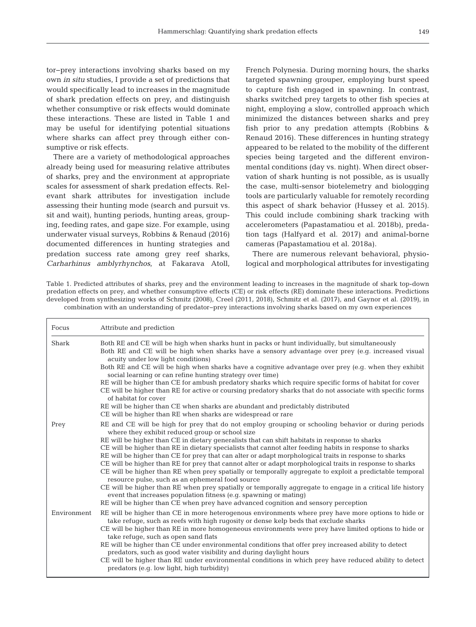tor−prey interactions involving sharks based on my own *in situ* studies, I provide a set of predictions that would specifically lead to increases in the magnitude of shark predation effects on prey, and distinguish whether consumptive or risk effects would dominate these interactions. These are listed in Table 1 and may be useful for identifying potential situations where sharks can affect prey through either consumptive or risk effects.

There are a variety of methodological approaches already being used for measuring relative attributes of sharks, prey and the environment at appropriate scales for assessment of shark predation effects. Relevant shark attributes for investigation include assessing their hunting mode (search and pursuit vs. sit and wait), hunting periods, hunting areas, grouping, feeding rates, and gape size. For example, using underwater visual surveys, Robbins & Renaud (2016) documented differences in hunting strategies and predation success rate among grey reef sharks, *Carharhinus amblyrhynchos*, at Fakarava Atoll,

French Polynesia. During morning hours, the sharks targeted spawning grouper, employing burst speed to capture fish engaged in spawning. In contrast, sharks switched prey targets to other fish species at night, employing a slow, controlled approach which minimized the distances between sharks and prey fish prior to any predation attempts (Robbins & Renaud 2016). These differences in hunting strategy appeared to be related to the mobility of the different species being targeted and the different environmental conditions (day vs. night). When direct observation of shark hunting is not possible, as is usually the case, multi-sensor biotelemetry and biologging tools are particularly valuable for remotely recording this aspect of shark behavior (Hussey et al. 2015). This could include combining shark tracking with accelerometers (Papastamatiou et al. 2018b), predation tags (Halfyard et al. 2017) and animal-borne cameras (Papastamatiou et al. 2018a).

There are numerous relevant behavioral, physiological and morphological attributes for investigating

Table 1. Predicted attributes of sharks, prey and the environment leading to increases in the magnitude of shark top-down predation effects on prey, and whether consumptive effects (CE) or risk effects (RE) dominate these interactions. Predictions developed from synthesizing works of Schmitz (2008), Creel (2011, 2018), Schmitz et al. (2017), and Gaynor et al. (2019), in combination with an understanding of predator−prey interactions involving sharks based on my own experiences

| Focus       | Attribute and prediction                                                                                                                                                                                                                                                                                                                                                                                                                                                                                                                                                                                                                                                                                                                                                                                                                                                                                                                                                                                                         |
|-------------|----------------------------------------------------------------------------------------------------------------------------------------------------------------------------------------------------------------------------------------------------------------------------------------------------------------------------------------------------------------------------------------------------------------------------------------------------------------------------------------------------------------------------------------------------------------------------------------------------------------------------------------------------------------------------------------------------------------------------------------------------------------------------------------------------------------------------------------------------------------------------------------------------------------------------------------------------------------------------------------------------------------------------------|
| Shark       | Both RE and CE will be high when sharks hunt in packs or hunt individually, but simultaneously<br>Both RE and CE will be high when sharks have a sensory advantage over prey (e.g. increased visual<br>acuity under low light conditions)<br>Both RE and CE will be high when sharks have a cognitive advantage over prey (e.g. when they exhibit<br>social learning or can refine hunting strategy over time)<br>RE will be higher than CE for ambush predatory sharks which require specific forms of habitat for cover<br>CE will be higher than RE for active or coursing predatory sharks that do not associate with specific forms<br>of habitat for cover<br>RE will be higher than CE when sharks are abundant and predictably distributed<br>CE will be higher than RE when sharks are widespread or rare                                                                                                                                                                                                               |
| Prey        | RE and CE will be high for prey that do not employ grouping or schooling behavior or during periods<br>where they exhibit reduced group or school size<br>RE will be higher than CE in dietary generalists that can shift habitats in response to sharks<br>CE will be higher than RE in dietary specialists that cannot alter feeding habits in response to sharks<br>RE will be higher than CE for prey that can alter or adapt morphological traits in response to sharks<br>CE will be higher than RE for prey that cannot alter or adapt morphological traits in response to sharks<br>CE will be higher than RE when prey spatially or temporally aggregate to exploit a predictable temporal<br>resource pulse, such as an ephemeral food source<br>CE will be higher than RE when prey spatially or temporally aggregate to engage in a critical life history<br>event that increases population fitness (e.g. spawning or mating)<br>RE will be higher than CE when prey have advanced cognition and sensory perception |
| Environment | RE will be higher than CE in more heterogenous environments where prey have more options to hide or<br>take refuge, such as reefs with high rugosity or dense kelp beds that exclude sharks<br>CE will be higher than RE in more homogeneous environments were prey have limited options to hide or<br>take refuge, such as open sand flats<br>RE will be higher than CE under environmental conditions that offer prey increased ability to detect<br>predators, such as good water visibility and during daylight hours<br>CE will be higher than RE under environmental conditions in which prey have reduced ability to detect<br>predators (e.g. low light, high turbidity)                                                                                                                                                                                                                                                                                                                                                 |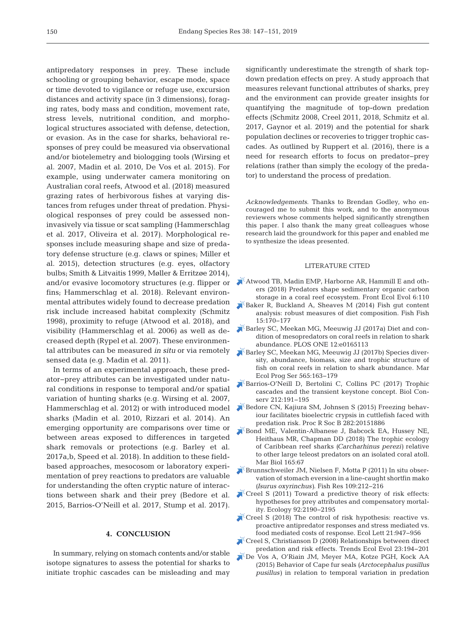antipredatory responses in prey. These include schooling or grouping behavior, escape mode, space or time devoted to vigilance or refuge use, excursion distances and activity space (in 3 dimensions), foraging rates, body mass and condition, movement rate, stress levels, nutritional condition, and morphological structures associated with defense, detection, or evasion. As in the case for sharks, behavioral responses of prey could be measured via observational and/or biotelemetry and biologging tools (Wirsing et al. 2007, Madin et al. 2010, De Vos et al. 2015). For example, using underwater camera monitoring on Australian coral reefs, Atwood et al. (2018) measured grazing rates of herbivorous fishes at varying distances from refuges under threat of predation. Physiological responses of prey could be assessed noninvasively via tissue or scat sampling (Hammerschlag et al. 2017, Oliveira et al. 2017). Morphological responses include measuring shape and size of predatory defense structure (e.g. claws or spines; Miller et al. 2015), detection structures (e.g. eyes, olfactory bulbs; Smith & Litvaitis 1999, Møller & Erritzøe 2014), and/or evasive locomotory structures (e.g. flipper or fins; Hammerschlag et al. 2018). Relevant environmental attributes widely found to decrease predation risk include increased habitat complexity (Schmitz 1998), proximity to refuge (Atwood et al. 2018), and visibility (Hammerschlag et al. 2006) as well as decreased depth (Rypel et al. 2007). These environmental attributes can be measured *in situ* or via remotely sensed data (e.g. Madin et al. 2011).

In terms of an experimental approach, these predator−prey attributes can be investigated under natural conditions in response to temporal and/or spatial variation of hunting sharks (e.g. Wirsing et al. 2007, Hammerschlag et al. 2012) or with introduced model sharks (Madin et al. 2010, Rizzari et al. 2014). An emerging opportunity are comparisons over time or between areas exposed to differences in targeted shark removals or protections (e.g. Barley et al. 2017a,b, Speed et al. 2018). In addition to these fieldbased approaches, mesocosom or laboratory experimentation of prey reactions to predators are valuable for understanding the often cryptic nature of interactions between shark and their prey (Bedore et al. 2015, Barrios-O'Neill et al. 2017, Stump et al. 2017).

#### **4. CONCLUSION**

In summary, relying on stomach contents and/or stable isotope signatures to assess the potential for sharks to initiate trophic cascades can be misleading and may

significantly underestimate the strength of shark topdown predation effects on prey. A study approach that measures relevant functional attributes of sharks, prey and the environment can provide greater insights for quantifying the magnitude of top-down predation effects (Schmitz 2008, Creel 2011, 2018, Schmitz et al. 2017, Gaynor et al. 2019) and the potential for shark population declines or recoveries to trigger trophic cascades. As outlined by Ruppert et al. (2016), there is a need for research efforts to focus on predator−prey relations (rather than simply the ecology of the predator) to understand the process of predation.

*Acknowledgements*. Thanks to Brendan Godley, who encouraged me to submit this work, and to the anonymous reviewers whose comments helped significantly strengthen this paper. I also thank the many great colleagues whose research laid the groundwork for this paper and enabled me to synthesize the ideas presented.

#### LITERATURE CITED

- [Atwood TB, Madin EMP, Harborne AR, Hammill E and oth](https://doi.org/10.3389/fevo.2018.00110)ers (2018) Predators shape sedimentary organic carbon storage in a coral reef ecosystem. Front Ecol Evol 6:110
- [Baker R, Buckland A, Sheaves M \(2014\) Fish gut content](https://doi.org/10.1111/faf.12026) analysis: robust measures of diet composition. Fish Fish 15: 170−177
- [Barley SC, Meekan MG, Meeuwig JJ \(2017a\) Diet and con](https://doi.org/10.1371/journal.pone.0165113)dition of mesopredators on coral reefs in relation to shark abundance. PLOS ONE 12:e0165113
- [Barley SC, Meekan MG, Meeuwig JJ \(2017b\) Species diver](https://doi.org/10.3354/meps11981)sity, abundance, biomass, size and trophic structure of fish on coral reefs in relation to shark abundance. Mar Ecol Prog Ser 565: 163−179
- [Barrios-O'Neill D, Bertolini C, Collins PC \(2017\) Trophic](https://doi.org/10.1016/j.biocon.2017.06.011) cascades and the transient keystone concept. Biol Conserv 212: 191−195
- [Bedore CN, Kajiura SM, Johnsen S \(2015\) Freezing behav](https://doi.org/10.1098/rspb.2015.1886)iour facilitates bioelectric crypsis in cuttlefish faced with predation risk. Proc R Soc B 282:20151886
- [Bond ME, Valentin-Albanese J, Babcock EA, Hussey NE,](https://doi.org/10.1007/s00227-018-3322-2) Heithaus MR, Chapman DD (2018) The trophic ecology of Caribbean reef sharks *(Carcharhinus perezi)* relative to other large teleost predators on an isolated coral atoll. Mar Biol 165:67
- [Brunnschweiler JM, Nielsen F, Motta P \(2011\) In situ obser](https://doi.org/10.1016/j.fishres.2011.02.005)vation of stomach eversion in a line-caught shortfin mako *(Isurus oxyrinchus)*. Fish Res 109: 212−216
- [Creel S \(2011\) Toward a predictive theory of risk effects:](https://doi.org/10.1890/11-0327.1)  hypotheses for prey attributes and compensatory mortality. Ecology 92: 2190−2195
- $\blacktriangleright$  Creel S (2018) The control of risk hypothesis: reactive vs. proactive antipredator responses and stress mediated vs. food mediated costs of response. Ecol Lett 21: 947−956
- [Creel S, Christianson D \(2008\) Relationships between direct](https://doi.org/10.1016/j.tree.2007.12.004) predation and risk effects. Trends Ecol Evol 23: 194−201
- [De Vos A, O'Riain JM, Meyer MA, Kotze PGH, Kock AA](https://doi.org/10.1111/mms.12208) (2015) Behavior of Cape fur seals *(Arctocephalus pusillus pusillus)* in relation to temporal variation in predation